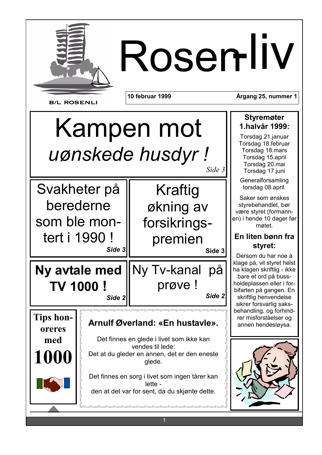

# RosenllV

**B/L ROSENLI** 

oreres

med

1000

10 februar 1999

Årgang 25, nummer 1

# Kampen mot uønskede husdyr! Side 3

Svakheter på Kraftig berederne økning av som ble monforsikringstert i 1990! premien Side 3 Side 3 Ny Tv-kanal på Ny avtale med prøve! **TV 1000!** Side 2 Side 2 Tips hon-

### Arnulf Øverland: «En hustavle».

Det finnes en glede i livet som ikke kan vendes til lede: Det at du gleder en annen, det er den eneste

glede.

Det finnes en sorg i livet som ingen tårer kan lette den at det var for sent, da du skjønte dette.

### **Styremøter** 1.halvår 1999:

Torsdag 21.januar Torsdag 18.februar Torsdag 18.mars Torsdag 15.april Torsdag 20.mai Torsdag 17.juni

Generalforsamling torsdag 08.april.

Saker som ønskes styrebehandlet, bør være styret (formannen) i hende 10 dager før møtet.

#### En liten bønn fra styret:

Dersom du har noe å klage på, vil styret helst ha klagen skriftlig - ikke bare et ord på bussholdeplassen eller i forbifarten på gangen. En skriftlig henvendelse sikrer forsvarlig saksbehandling, og forhindrer misforståelser og annen hendesløvsa.

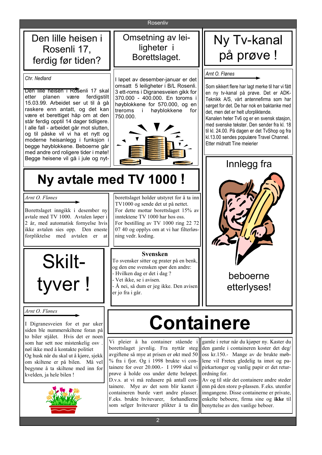Rosenliv

Den lille heisen i Rosenli 17, ferdig før tiden?

Chr. Nedland

Den lille heisen i Rosenli 17 skal etter planen være ferdigstilt 15.03.99. Arbeidet ser ut til å gå raskere enn antatt, og det kan være et berettiget håp om at den står ferdig opptil 14 dager tidligere. I alle fall - arbeidet går mot slutten, og til påske vil vi ha et nytt og moderne heisanlegg i funksjon i begge høyblokkene. Beboerne går med andre ord roligere tider i møte! Begge heisene vil gå i jule og nyt-

### Omsetning av leiligheter i Borettslaget.

I løpet av desember-januar er det omsatt 5 leiligheter i B/L Rosenli. 3 ett-roms i Digranesveien gikk for 370.000 - 400.000. En toroms i høyblokkene for 570.000, og en treroms i høvblokkene for 750.000.



# Ny Tv-kanal på prøve !

#### Arnt O. Flønes

Som sikkert flere har lagt merke til har vi fått en ny ty-kanal på prøve. Det er ADK-Teknikk A/S, vårt antennefirma som har sørget for det. De har nok en baktanke med det, men det er helt uforpliktende. Kanalen heter Tv6 og er en svensk stasjon, med svenske tekster. Den sender fra kl. 18 til kl. 24.00. På dagen er det TvShop og fra

kl.13.00 sendes populære Travel Channel. Etter midnatt Tine meierier Innlegg fra

### Ny avtale med TV 1000 !

Arnt O. Flønes

Borettslaget inngikk i desember ny avtale med TV 1000. Avtalen løper i 2 år, med automatisk fornvelse hvis ikke avtalen sies opp. Den eneste forpliktelse med avtalen er at



#### Arnt O. Flønes

I Digranesveien for et par uker siden ble nummerskiltene foran på to biler stiålet. Hvis det er noen som har sett noe mistenkelig osv nøl ikke med å kontakte politiet Og husk når du skal ut å kjøre, sjekk om skiltene er på bilen. Må vel begynne å ta skiltene med inn for kvelden, ja hele bilen!



borettslaget holder utstyret for å ta inn TV1000 og sende det ut på nettet. For dette mottar borettslaget 15% av inntektene TV 1000 har hos oss. For bestilling av TV 1000 ring 22 72 07 40 og opplys om at vi har filterløsning vedr. koding.

#### **Svensken**

To svensker sitter og prater på en benk, og den ene svensken spør den andre: - Hvilken dag er det i dag?

- Vet ikke, se i avisen.
- Å nei, så dum er jeg ikke. Den avisen er jo fra i går.



# **Containere**

Vi pleier å ha container stående i borettslaget jevnlig. Fra nyttår steg avgiftene så mye at prisen er økt med 50 % fra i fjor. Og i 1998 brukte vi containere for over 20.000.- I 1999 skal vi prøve å holde oss under dette beløpet. D.v.s. at vi må redusere på antall containere. Mye av det som blir kastet i containeren burde vært andre plasser. F.eks. brukte hvitevarer, forhandlerne som selger hvitevarer plikter å ta din

gamle i retur når du kjøper ny. Kaster du den gamle i containeren koster det deg/ oss kr.150.- Mange av de brukte møblene vil Fretex gledelig ta imot og papirkartonger og vanlig papir er det returordning for.

Av og til står det containere andre steder enn på den store p-plassen. F.eks. utenfor inngangene. Disse containerne er private, enkelte beboere, firma sine og ikke til benyttelse av den vanlige beboer.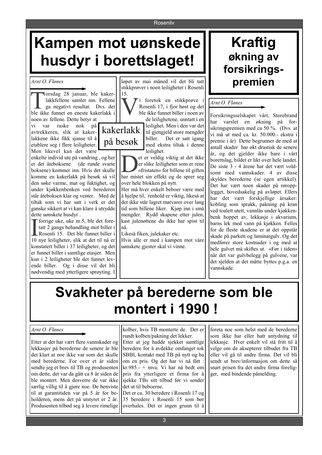#### **Rosenliv**

# Kampen mot uønskede husdyr i borettslaget!

Arnt O. Flønes

orsdag 28 januar, ble kakerlakkfellene samlet inn. Fellene ga negativt resultat. Dvs. det ble ikke funnet en eneste kakerlakk i noen av fellene. Dette betyr at

vi var raske nok på avtrekkeren, slik at kakerlakkene ikke fikk sjanse til å etablere seg i flere leiligheter. Men likevel kan det være

enkelte individ ute på vandring, og her er det åteboksene (de runde svarte boksene) kommer inn. Hvis det skulle komme en kakerlakk på besøk så vil den søke varme, mat og fuktighet, og under kjøkkenbenken ved berederen står åteboksen klar og venter. Med de tiltak som vi har satt i verk er det ganske sikkert at vi kan klare å utrydde dette uønskete husdyr.

forrige uke, uke nr.5, ble det foretatt 2 gangs behandling mot biller i Rosenli 15. Det ble funnet biller i 10 nye leiligheter, slik at det til nå er konstatert biller i 37 leiligheter, og det er funnet biller i samtlige etasjer. Men kun i 2 leiligheter ble det funnet levende biller. Og i disse vil det bli nødvendig med ytterligere sprøyting. I

løpet av mai måned vil det bli tatt stikkprøver i noen leiligheter i Rosenli

> i foretok en stikkprøve i Rosenli 17, i fjor høst og det ble ikke funnet biller i noen av de leilighetene, unntatt i en leilighet. Men i den var det til gjengjeld store mengder biller. Det er satt igang med ekstra tiltak i denne leilighet.

et er veldig viktig at det ikke er slike leiligheter som er rene «fristaten» for billene til giften har mistet sin effekt og de sprer seg over hele blokken på nytt.

Her må hver enkelt beboer være med å hjelpe til, renhold er viktig, likeså at det ikke står lagret matvarer over lang tid som billene liker. Kjøp inn i små mengder. Rydd skapene etter julen, kast julenøttene du ikke har spist til nå.

Likeså fiken, julekaker etc. Hvis alle er med i kampen mot våre uønskete gjester skal vi vinne.

### **Kraftig** økning av forsikringspremien

#### Arnt O. Flønes

Forsikringsselskapet vårt, Storebrand har varslet en økning på forsikringspremien med ca 50 %. (Dvs. at vi må ut med ca. kr. 50.000.- ekstra i premie i år) Dette begrunner de med at antall skader har økt drastisk de senere år, og det gjelder ikke bare i vårt borettslag, bildet er likt over hele landet. De siste 3 - 4 årene har det vært voldsomt med vannskader. 4 av disse skyldes berederne (se egen artikkel). Det har vært noen skader på røropplegget, hovedsakelig på avløpet. Ellers har det vært forskjellige årsaker: kobling som sprakk, pakning på kran ved toalett utett, vannlås under kjøkkenbenk hoppet av. lekkasie i akvarium. barns lek med vann på kjøkken. Felles for de fleste skadene er at det oppstår skade på parkett og laminatgulv. Og det medfører store kostnader i og med at hele gulvet må skiftes ut. «Før i tiden» når det var gulvbelegg på gulvene, var det sjelden at det måtte byttes p.g.a. en vannskade.

## Svakheter på berederne som ble montert i 1990!

#### Arnt O. Flønes

Etter at det har vært flere vannskader og lekkasjer på berederne de senere år ble det klart at noe ikke var som det skulle med berederne. For over et år siden sendte jeg et brev til TB og produsenten om dette, det var da gått ca 8 år siden de ble montert. Men desverre de var ikke særlig villig til å gjøre noe. De henviste til at garantitiden var på 5 år for beholderen, mens det på utstyret er 2 år. Produsenten tilbød seg å levere rimelige

kolber, hvis TB monterte de. Det er rundt kolben/pakning det lekker. Etter at jeg hadde sjekket samtlige beredere for å avdekke omfanget tok SBBL kontakt med TB på nytt og ba om en pris. Og det har vi nå fått :  $kr.985. - + mva.$  Vi har nå bedt om pris fra ytterligere et firma for å sjekke TBs sitt tilbud før vi sender det ut til beboerne. Det er ca. 30 beredere i Rosenli 17 og 35 beredere i Rosenli 15 som bør overhales. Det er ingen grunn til å

foreta noe som helst med de berederne som ikke har eller hatt antydning til lekkasje. Hver enkelt vil stå fritt til å velge om de aksepterer tilbudet fra TB eller vil gå til andre firma. Det vil bli sendt ut brev/informasjon om dette så snart prisen fra det andre firma foreligger, med bindende påmelding.